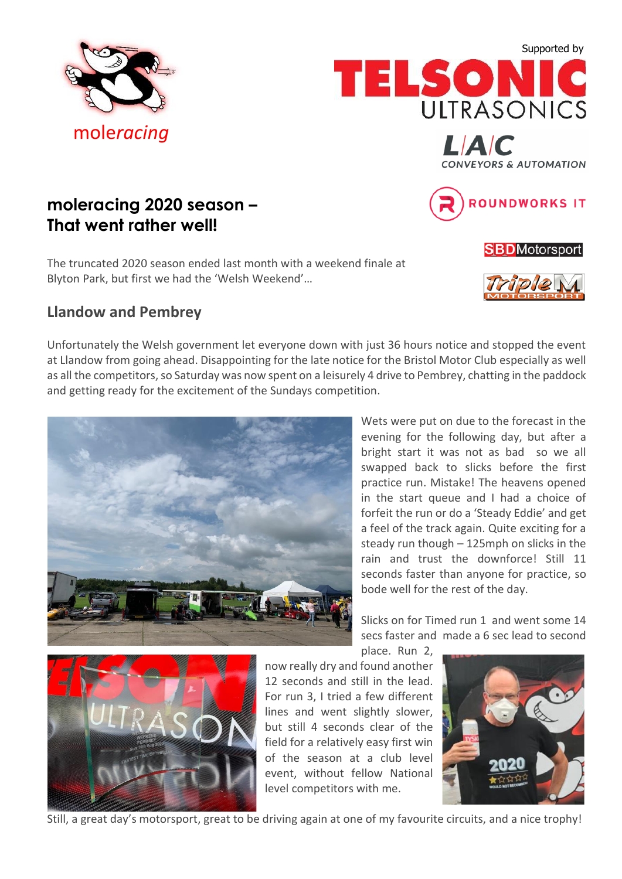







## **moleracing 2020 season – That went rather well!**

The truncated 2020 season ended last month with a weekend finale at Blyton Park, but first we had the 'Welsh Weekend'…

## **Llandow and Pembrey**

Unfortunately the Welsh government let everyone down with just 36 hours notice and stopped the event at Llandow from going ahead. Disappointing for the late notice for the Bristol Motor Club especially as well as all the competitors, so Saturday was now spent on a leisurely 4 drive to Pembrey, chatting in the paddock and getting ready for the excitement of the Sundays competition.



Wets were put on due to the forecast in the evening for the following day, but after a bright start it was not as bad so we all swapped back to slicks before the first practice run. Mistake! The heavens opened in the start queue and I had a choice of forfeit the run or do a 'Steady Eddie' and get a feel of the track again. Quite exciting for a steady run though – 125mph on slicks in the rain and trust the downforce! Still 11 seconds faster than anyone for practice, so bode well for the rest of the day.

Slicks on for Timed run 1 and went some 14 secs faster and made a 6 sec lead to second place. Run 2,



now really dry and found another 12 seconds and still in the lead. For run 3, I tried a few different lines and went slightly slower, but still 4 seconds clear of the field for a relatively easy first win of the season at a club level event, without fellow National level competitors with me.



Still, a great day's motorsport, great to be driving again at one of my favourite circuits, and a nice trophy!



**SBD**Motorsport

**ROUNDWORKS IT**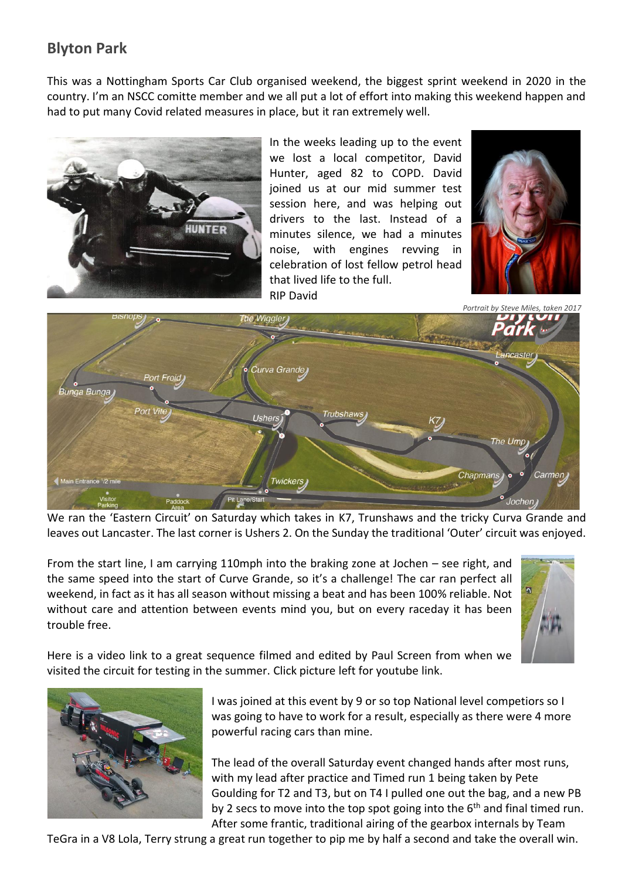## **Blyton Park**

This was a Nottingham Sports Car Club organised weekend, the biggest sprint weekend in 2020 in the country. I'm an NSCC comitte member and we all put a lot of effort into making this weekend happen and had to put many Covid related measures in place, but it ran extremely well.



In the weeks leading up to the event we lost a local competitor, David Hunter, aged 82 to COPD. David joined us at our mid summer test session here, and was helping out drivers to the last. Instead of a minutes silence, we had a minutes noise, with engines revving in celebration of lost fellow petrol head that lived life to the full. RIP David



 *Portrait by Steve Miles, taken 2017*



We ran the 'Eastern Circuit' on Saturday which takes in K7, Trunshaws and the tricky Curva Grande and leaves out Lancaster. The last corner is Ushers 2. On the Sunday the traditional 'Outer' circuit was enjoyed.

From the start line, I am carrying 110mph into the braking zone at Jochen – see right, and the same speed into the start of Curve Grande, so it's a challenge! The car ran perfect all weekend, in fact as it has all season without missing a beat and has been 100% reliable. Not without care and attention between events mind you, but on every raceday it has been trouble free.



Here is a video link to a great sequence filmed and edited by Paul Screen from when we visited the circuit for testing in the summer. Click picture left for youtube link.



I was joined at this event by 9 or so top National level competiors so I was going to have to work for a result, especially as there were 4 more powerful racing cars than mine.

The lead of the overall Saturday event changed hands after most runs, with my lead after practice and Timed run 1 being taken by Pete Goulding for T2 and T3, but on T4 I pulled one out the bag, and a new PB by 2 secs to move into the top spot going into the  $6<sup>th</sup>$  and final timed run. After some frantic, traditional airing of the gearbox internals by Team

TeGra in a V8 Lola, Terry strung a great run together to pip me by half a second and take the overall win.